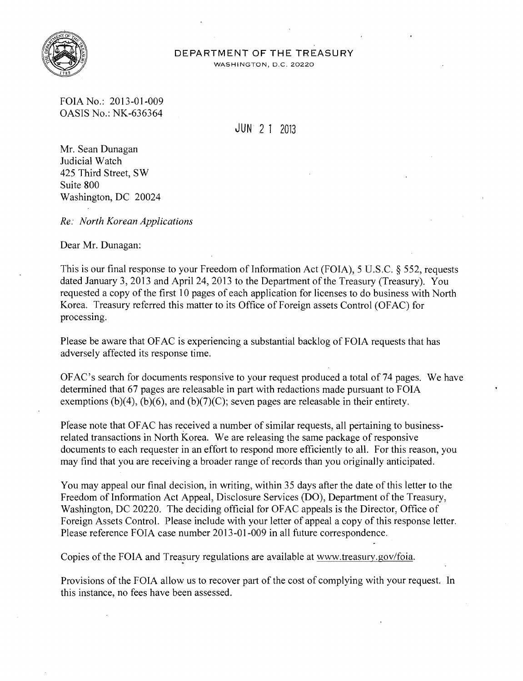

## **DEPARTMENT OF THE TREASURY**

WASHINGTON, D.C. 20220

FOIA No.: 2013-01-009 OASIS No.: NK-636364

**JUN** 2 1 2013

Mr. Sean Dunagan Judicial Watch 425 Third Street, SW Suite 800 Washington, DC 20024

*Re: North Korean Applications* 

Dear Mr. Dunagan:

This is our final response to your Freedom of Information Act (FOIA), 5 U.S.C. § 552, requests dated January 3, 2013 and April 24, 2013 to the Department of the Treasury (Treasury). You requested a copy of the first 10 pages of each application for licenses to do business with North Korea. Treasury referred this matter to its Office of Foreign assets Control (OFAC) for processing.

Please be aware that OF AC is experiencing a substantial backlog of FOIA requests that has adversely affected its response time.

OFAC's search for documents responsive to your request produced a total of 74 pages. We have determined that 67 pages are releasable in part with redactions made pursuant to FOIA exemptions  $(b)(4)$ ,  $(b)(6)$ , and  $(b)(7)(C)$ ; seven pages are releasable in their entirety.

Please note that OFAC has received a number of similar requests, all pertaining to businessrelated transactions in North Korea. We are releasing the same package of responsive documents to each requester in an effort to respond more efficiently to all. For this reason, you may find that you are receiving a broader range of records than you originally anticipated.

You may appeal our final decision, in writing, within 35 days after the date of this letter to the Freedom of Information Act Appeal, Disclosure Services (DO), Department of the Treasury, Washington, DC 20220. The deciding official for OFAC appeals is the Director, Office of Foreign Assets Control. Please include with your letter of appeal a copy of this response letter. Please reference FOIA case number 2013-01-009 in all future correspondence.

Copies of the FOIA and Treasury regulations are available at www.treasury.gov/foia.

Provisions of the FOIA allow us to recover part of the cost of complying with your request. **In**  this instance, no fees have been assessed.